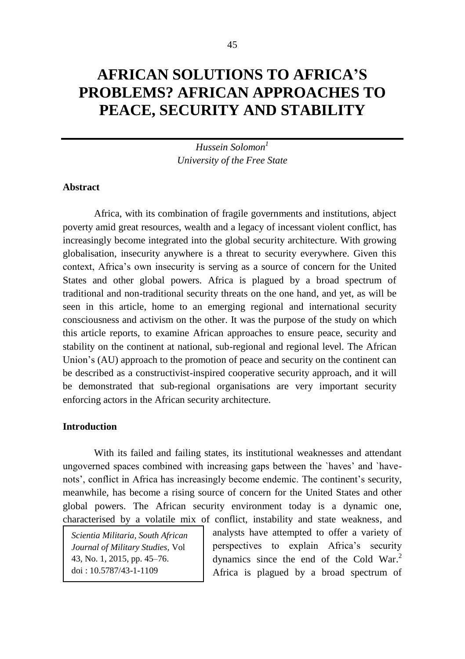# **AFRICAN SOLUTIONS TO AFRICA'S PROBLEMS? AFRICAN APPROACHES TO PEACE, SECURITY AND STABILITY**

*Hussein Solomon<sup>1</sup> University of the Free State*

## **Abstract**

Africa, with its combination of fragile governments and institutions, abject poverty amid great resources, wealth and a legacy of incessant violent conflict, has increasingly become integrated into the global security architecture. With growing globalisation, insecurity anywhere is a threat to security everywhere. Given this context, Africa's own insecurity is serving as a source of concern for the United States and other global powers. Africa is plagued by a broad spectrum of traditional and non-traditional security threats on the one hand, and yet, as will be seen in this article, home to an emerging regional and international security consciousness and activism on the other. It was the purpose of the study on which this article reports, to examine African approaches to ensure peace, security and stability on the continent at national, sub-regional and regional level. The African Union's (AU) approach to the promotion of peace and security on the continent can be described as a constructivist-inspired cooperative security approach, and it will be demonstrated that sub-regional organisations are very important security enforcing actors in the African security architecture.

## **Introduction**

With its failed and failing states, its institutional weaknesses and attendant ungoverned spaces combined with increasing gaps between the `haves' and `havenots', conflict in Africa has increasingly become endemic. The continent's security, meanwhile, has become a rising source of concern for the United States and other global powers. The African security environment today is a dynamic one, characterised by a volatile mix of conflict, instability and state weakness, and

*Scientia Militaria, South African Journal of Military Studies,* Vol 43, No. 1, 2015, pp. 45–76. doi : 10.5787/43-1-1109

analysts have attempted to offer a variety of perspectives to explain Africa's security dynamics since the end of the Cold War. 2 Africa is plagued by a broad spectrum of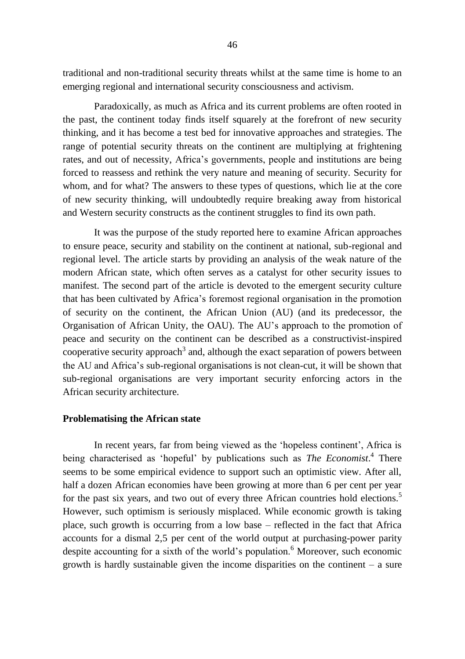traditional and non-traditional security threats whilst at the same time is home to an emerging regional and international security consciousness and activism.

Paradoxically, as much as Africa and its current problems are often rooted in the past, the continent today finds itself squarely at the forefront of new security thinking, and it has become a test bed for innovative approaches and strategies. The range of potential security threats on the continent are multiplying at frightening rates, and out of necessity, Africa's governments, people and institutions are being forced to reassess and rethink the very nature and meaning of security. Security for whom, and for what? The answers to these types of questions, which lie at the core of new security thinking, will undoubtedly require breaking away from historical and Western security constructs as the continent struggles to find its own path.

It was the purpose of the study reported here to examine African approaches to ensure peace, security and stability on the continent at national, sub-regional and regional level. The article starts by providing an analysis of the weak nature of the modern African state, which often serves as a catalyst for other security issues to manifest. The second part of the article is devoted to the emergent security culture that has been cultivated by Africa's foremost regional organisation in the promotion of security on the continent, the African Union (AU) (and its predecessor, the Organisation of African Unity, the OAU). The AU's approach to the promotion of peace and security on the continent can be described as a constructivist-inspired cooperative security approach<sup>3</sup> and, although the exact separation of powers between the AU and Africa's sub-regional organisations is not clean-cut, it will be shown that sub-regional organisations are very important security enforcing actors in the African security architecture.

#### **Problematising the African state**

In recent years, far from being viewed as the 'hopeless continent', Africa is being characterised as 'hopeful' by publications such as *The Economist*. <sup>4</sup> There seems to be some empirical evidence to support such an optimistic view. After all, half a dozen African economies have been growing at more than 6 per cent per year for the past six years, and two out of every three African countries hold elections.<sup>5</sup> However, such optimism is seriously misplaced. While economic growth is taking place, such growth is occurring from a low base – reflected in the fact that Africa accounts for a dismal 2,5 per cent of the world output at purchasing-power parity despite accounting for a sixth of the world's population.<sup>6</sup> Moreover, such economic growth is hardly sustainable given the income disparities on the continent – a sure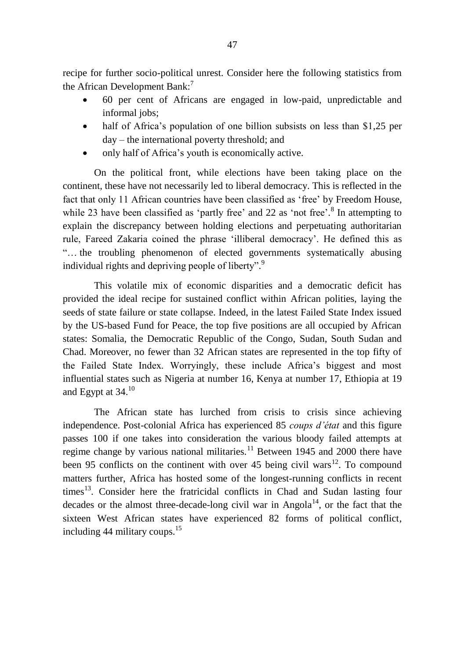recipe for further socio-political unrest. Consider here the following statistics from the African Development Bank:<sup>7</sup>

- 60 per cent of Africans are engaged in low-paid, unpredictable and informal *jobs*:
- half of Africa's population of one billion subsists on less than \$1,25 per day – the international poverty threshold; and
- only half of Africa's youth is economically active.

On the political front, while elections have been taking place on the continent, these have not necessarily led to liberal democracy. This is reflected in the fact that only 11 African countries have been classified as 'free' by Freedom House, while 23 have been classified as 'partly free' and 22 as 'not free'.<sup>8</sup> In attempting to explain the discrepancy between holding elections and perpetuating authoritarian rule, Fareed Zakaria coined the phrase 'illiberal democracy'. He defined this as "… the troubling phenomenon of elected governments systematically abusing individual rights and depriving people of liberty".<sup>9</sup>

This volatile mix of economic disparities and a democratic deficit has provided the ideal recipe for sustained conflict within African polities, laying the seeds of state failure or state collapse. Indeed, in the latest Failed State Index issued by the US-based Fund for Peace, the top five positions are all occupied by African states: Somalia, the Democratic Republic of the Congo, Sudan, South Sudan and Chad. Moreover, no fewer than 32 African states are represented in the top fifty of the Failed State Index. Worryingly, these include Africa's biggest and most influential states such as Nigeria at number 16, Kenya at number 17, Ethiopia at 19 and Egypt at 34.<sup>10</sup>

The African state has lurched from crisis to crisis since achieving independence. Post-colonial Africa has experienced 85 *coups d'état* and this figure passes 100 if one takes into consideration the various bloody failed attempts at regime change by various national militaries.<sup>11</sup> Between 1945 and 2000 there have been 95 conflicts on the continent with over 45 being civil wars<sup>12</sup>. To compound matters further, Africa has hosted some of the longest-running conflicts in recent times<sup>13</sup>. Consider here the fratricidal conflicts in Chad and Sudan lasting four decades or the almost three-decade-long civil war in Angola<sup>14</sup>, or the fact that the sixteen West African states have experienced 82 forms of political conflict, including 44 military coups.<sup>15</sup>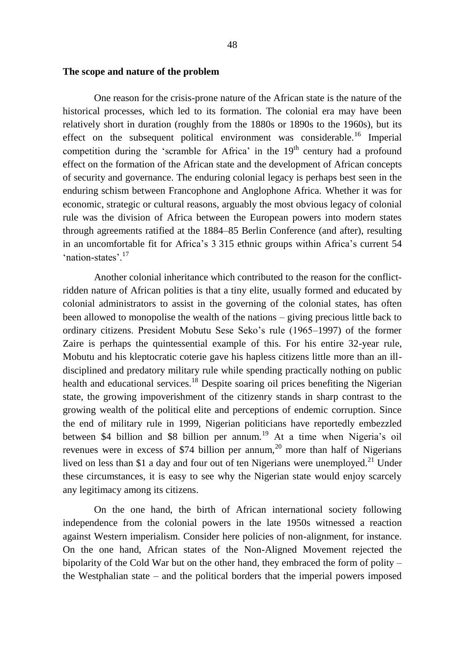#### **The scope and nature of the problem**

One reason for the crisis-prone nature of the African state is the nature of the historical processes, which led to its formation. The colonial era may have been relatively short in duration (roughly from the 1880s or 1890s to the 1960s), but its effect on the subsequent political environment was considerable.<sup>16</sup> Imperial competition during the 'scramble for Africa' in the  $19<sup>th</sup>$  century had a profound effect on the formation of the African state and the development of African concepts of security and governance. The enduring colonial legacy is perhaps best seen in the enduring schism between Francophone and Anglophone Africa. Whether it was for economic, strategic or cultural reasons, arguably the most obvious legacy of colonial rule was the division of Africa between the European powers into modern states through agreements ratified at the 1884–85 Berlin Conference (and after), resulting in an uncomfortable fit for Africa's 3 315 ethnic groups within Africa's current 54 'nation-states'.<sup>17</sup>

Another colonial inheritance which contributed to the reason for the conflictridden nature of African polities is that a tiny elite, usually formed and educated by colonial administrators to assist in the governing of the colonial states, has often been allowed to monopolise the wealth of the nations – giving precious little back to ordinary citizens. President Mobutu Sese Seko's rule (1965–1997) of the former Zaire is perhaps the quintessential example of this. For his entire 32-year rule, Mobutu and his kleptocratic coterie gave his hapless citizens little more than an illdisciplined and predatory military rule while spending practically nothing on public health and educational services.<sup>18</sup> Despite soaring oil prices benefiting the Nigerian state, the growing impoverishment of the citizenry stands in sharp contrast to the growing wealth of the political elite and perceptions of endemic corruption. Since the end of military rule in 1999, Nigerian politicians have reportedly embezzled between \$4 billion and \$8 billion per annum.<sup>19</sup> At a time when Nigeria's oil revenues were in excess of \$74 billion per annum,<sup>20</sup> more than half of Nigerians lived on less than \$1 a day and four out of ten Nigerians were unemployed.<sup>21</sup> Under these circumstances, it is easy to see why the Nigerian state would enjoy scarcely any legitimacy among its citizens.

On the one hand, the birth of African international society following independence from the colonial powers in the late 1950s witnessed a reaction against Western imperialism. Consider here policies of non-alignment, for instance. On the one hand, African states of the Non-Aligned Movement rejected the bipolarity of the Cold War but on the other hand, they embraced the form of polity – the Westphalian state – and the political borders that the imperial powers imposed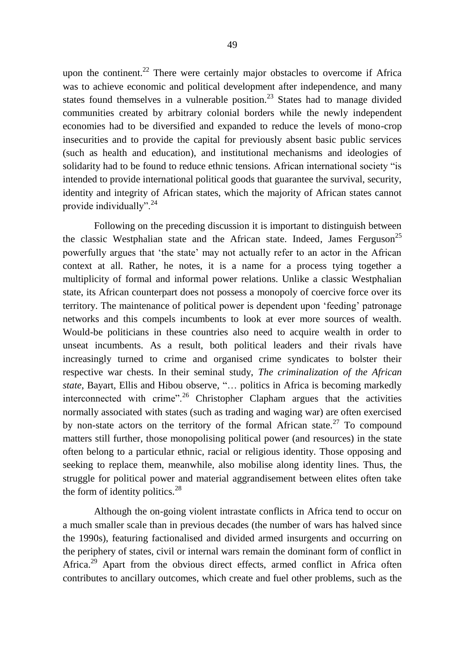upon the continent.<sup>22</sup> There were certainly major obstacles to overcome if Africa was to achieve economic and political development after independence, and many states found themselves in a vulnerable position.<sup>23</sup> States had to manage divided communities created by arbitrary colonial borders while the newly independent economies had to be diversified and expanded to reduce the levels of mono-crop insecurities and to provide the capital for previously absent basic public services (such as health and education), and institutional mechanisms and ideologies of solidarity had to be found to reduce ethnic tensions. African international society "is intended to provide international political goods that guarantee the survival, security, identity and integrity of African states, which the majority of African states cannot provide individually".<sup>24</sup>

Following on the preceding discussion it is important to distinguish between the classic Westphalian state and the African state. Indeed, James Ferguson<sup>25</sup> powerfully argues that 'the state' may not actually refer to an actor in the African context at all. Rather, he notes, it is a name for a process tying together a multiplicity of formal and informal power relations. Unlike a classic Westphalian state, its African counterpart does not possess a monopoly of coercive force over its territory. The maintenance of political power is dependent upon 'feeding' patronage networks and this compels incumbents to look at ever more sources of wealth. Would-be politicians in these countries also need to acquire wealth in order to unseat incumbents. As a result, both political leaders and their rivals have increasingly turned to crime and organised crime syndicates to bolster their respective war chests. In their seminal study, *The criminalization of the African state*, Bayart, Ellis and Hibou observe, "… politics in Africa is becoming markedly interconnected with crime".<sup>26</sup> Christopher Clapham argues that the activities normally associated with states (such as trading and waging war) are often exercised by non-state actors on the territory of the formal African state.<sup>27</sup> To compound matters still further, those monopolising political power (and resources) in the state often belong to a particular ethnic, racial or religious identity. Those opposing and seeking to replace them, meanwhile, also mobilise along identity lines. Thus, the struggle for political power and material aggrandisement between elites often take the form of identity politics.<sup>28</sup>

Although the on-going violent intrastate conflicts in Africa tend to occur on a much smaller scale than in previous decades (the number of wars has halved since the 1990s), featuring factionalised and divided armed insurgents and occurring on the periphery of states, civil or internal wars remain the dominant form of conflict in Africa.<sup>29</sup> Apart from the obvious direct effects, armed conflict in Africa often contributes to ancillary outcomes, which create and fuel other problems, such as the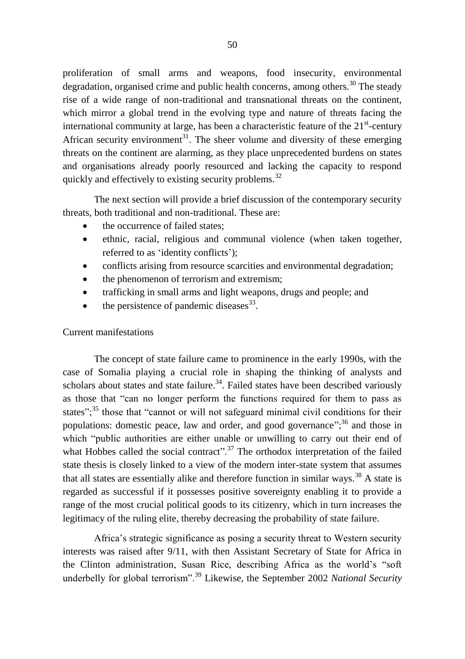proliferation of small arms and weapons, food insecurity, environmental degradation, organised crime and public health concerns, among others.<sup>30</sup> The steady rise of a wide range of non-traditional and transnational threats on the continent, which mirror a global trend in the evolving type and nature of threats facing the international community at large, has been a characteristic feature of the 21<sup>st</sup>-century African security environment<sup>31</sup>. The sheer volume and diversity of these emerging threats on the continent are alarming, as they place unprecedented burdens on states and organisations already poorly resourced and lacking the capacity to respond quickly and effectively to existing security problems.<sup>32</sup>

The next section will provide a brief discussion of the contemporary security threats, both traditional and non-traditional. These are:

- the occurrence of failed states;
- ethnic, racial, religious and communal violence (when taken together, referred to as 'identity conflicts');
- conflicts arising from resource scarcities and environmental degradation;
- the phenomenon of terrorism and extremism;
- trafficking in small arms and light weapons, drugs and people; and
- $\bullet$  the persistence of pandemic diseases<sup>33</sup>.

#### Current manifestations

The concept of state failure came to prominence in the early 1990s, with the case of Somalia playing a crucial role in shaping the thinking of analysts and scholars about states and state failure.<sup>34</sup>. Failed states have been described variously as those that "can no longer perform the functions required for them to pass as states";<sup>35</sup> those that "cannot or will not safeguard minimal civil conditions for their populations: domestic peace, law and order, and good governance"; $36$  and those in which "public authorities are either unable or unwilling to carry out their end of what Hobbes called the social contract".<sup>37</sup> The orthodox interpretation of the failed state thesis is closely linked to a view of the modern inter-state system that assumes that all states are essentially alike and therefore function in similar ways.<sup>38</sup> A state is regarded as successful if it possesses positive sovereignty enabling it to provide a range of the most crucial political goods to its citizenry, which in turn increases the legitimacy of the ruling elite, thereby decreasing the probability of state failure.

Africa's strategic significance as posing a security threat to Western security interests was raised after 9/11, with then Assistant Secretary of State for Africa in the Clinton administration, Susan Rice, describing Africa as the world's "soft underbelly for global terrorism".<sup>39</sup> Likewise, the September 2002 *National Security*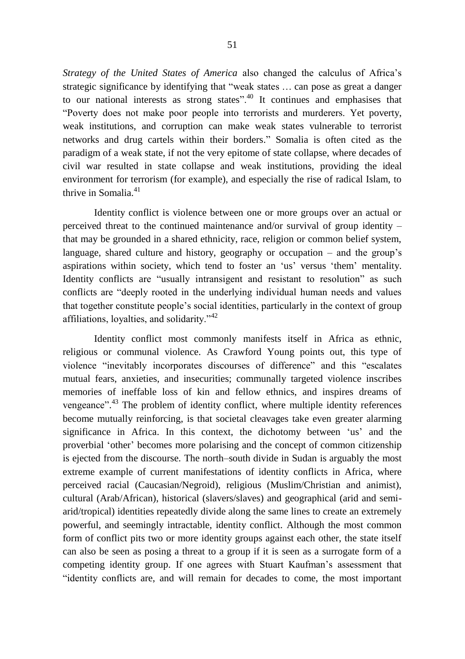*Strategy of the United States of America* also changed the calculus of Africa's strategic significance by identifying that "weak states … can pose as great a danger to our national interests as strong states".<sup>40</sup> It continues and emphasises that "Poverty does not make poor people into terrorists and murderers. Yet poverty, weak institutions, and corruption can make weak states vulnerable to terrorist networks and drug cartels within their borders." Somalia is often cited as the paradigm of a weak state, if not the very epitome of state collapse, where decades of civil war resulted in state collapse and weak institutions, providing the ideal environment for terrorism (for example), and especially the rise of radical Islam, to thrive in Somalia<sup>41</sup>

Identity conflict is violence between one or more groups over an actual or perceived threat to the continued maintenance and/or survival of group identity – that may be grounded in a shared ethnicity, race, religion or common belief system, language, shared culture and history, geography or occupation – and the group's aspirations within society, which tend to foster an 'us' versus 'them' mentality. Identity conflicts are "usually intransigent and resistant to resolution" as such conflicts are "deeply rooted in the underlying individual human needs and values that together constitute people's social identities, particularly in the context of group affiliations, loyalties, and solidarity."<sup>42</sup>

Identity conflict most commonly manifests itself in Africa as ethnic, religious or communal violence. As Crawford Young points out, this type of violence "inevitably incorporates discourses of difference" and this "escalates mutual fears, anxieties, and insecurities; communally targeted violence inscribes memories of ineffable loss of kin and fellow ethnics, and inspires dreams of vengeance".<sup>43</sup> The problem of identity conflict, where multiple identity references become mutually reinforcing, is that societal cleavages take even greater alarming significance in Africa. In this context, the dichotomy between 'us' and the proverbial 'other' becomes more polarising and the concept of common citizenship is ejected from the discourse. The north–south divide in Sudan is arguably the most extreme example of current manifestations of identity conflicts in Africa, where perceived racial (Caucasian/Negroid), religious (Muslim/Christian and animist), cultural (Arab/African), historical (slavers/slaves) and geographical (arid and semiarid/tropical) identities repeatedly divide along the same lines to create an extremely powerful, and seemingly intractable, identity conflict. Although the most common form of conflict pits two or more identity groups against each other, the state itself can also be seen as posing a threat to a group if it is seen as a surrogate form of a competing identity group. If one agrees with Stuart Kaufman's assessment that "identity conflicts are, and will remain for decades to come, the most important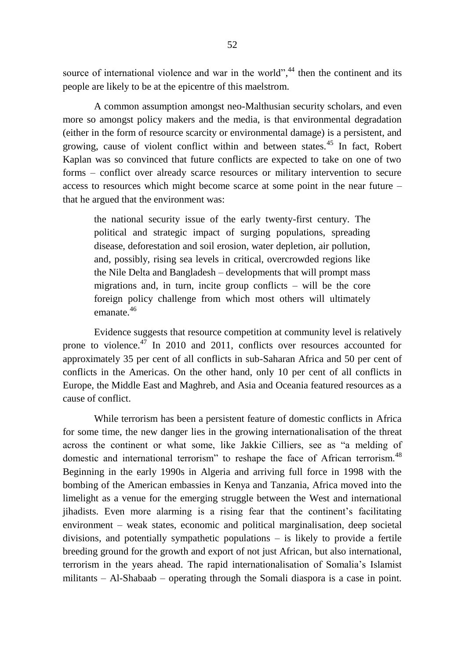source of international violence and war in the world",<sup>44</sup> then the continent and its people are likely to be at the epicentre of this maelstrom.

A common assumption amongst neo-Malthusian security scholars, and even more so amongst policy makers and the media, is that environmental degradation (either in the form of resource scarcity or environmental damage) is a persistent, and growing, cause of violent conflict within and between states.<sup>45</sup> In fact, Robert Kaplan was so convinced that future conflicts are expected to take on one of two forms – conflict over already scarce resources or military intervention to secure access to resources which might become scarce at some point in the near future – that he argued that the environment was:

the national security issue of the early twenty-first century. The political and strategic impact of surging populations, spreading disease, deforestation and soil erosion, water depletion, air pollution, and, possibly, rising sea levels in critical, overcrowded regions like the Nile Delta and Bangladesh – developments that will prompt mass migrations and, in turn, incite group conflicts – will be the core foreign policy challenge from which most others will ultimately emanate.<sup>46</sup>

Evidence suggests that resource competition at community level is relatively prone to violence.<sup>47</sup> In 2010 and 2011, conflicts over resources accounted for approximately 35 per cent of all conflicts in sub-Saharan Africa and 50 per cent of conflicts in the Americas. On the other hand, only 10 per cent of all conflicts in Europe, the Middle East and Maghreb, and Asia and Oceania featured resources as a cause of conflict.

While terrorism has been a persistent feature of domestic conflicts in Africa for some time, the new danger lies in the growing internationalisation of the threat across the continent or what some, like Jakkie Cilliers, see as "a melding of domestic and international terrorism" to reshape the face of African terrorism.<sup>48</sup> Beginning in the early 1990s in Algeria and arriving full force in 1998 with the bombing of the American embassies in Kenya and Tanzania, Africa moved into the limelight as a venue for the emerging struggle between the West and international jihadists. Even more alarming is a rising fear that the continent's facilitating environment – weak states, economic and political marginalisation, deep societal divisions, and potentially sympathetic populations – is likely to provide a fertile breeding ground for the growth and export of not just African, but also international, terrorism in the years ahead. The rapid internationalisation of Somalia's Islamist militants – Al-Shabaab – operating through the Somali diaspora is a case in point.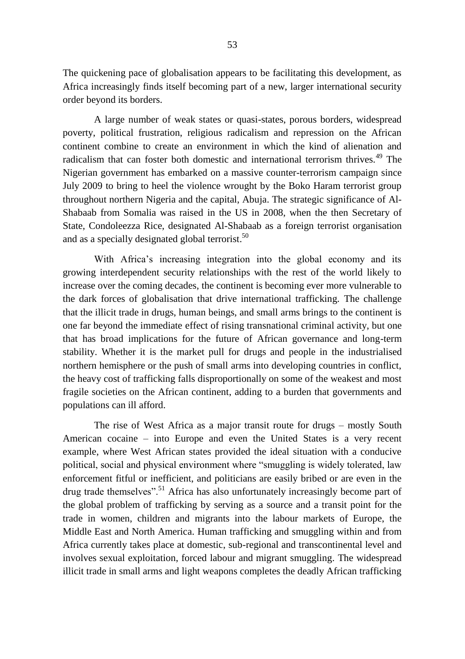The quickening pace of globalisation appears to be facilitating this development, as Africa increasingly finds itself becoming part of a new, larger international security order beyond its borders.

A large number of weak states or quasi-states, porous borders, widespread poverty, political frustration, religious radicalism and repression on the African continent combine to create an environment in which the kind of alienation and radicalism that can foster both domestic and international terrorism thrives.<sup>49</sup> The Nigerian government has embarked on a massive counter-terrorism campaign since July 2009 to bring to heel the violence wrought by the Boko Haram terrorist group throughout northern Nigeria and the capital, Abuja. The strategic significance of Al-Shabaab from Somalia was raised in the US in 2008, when the then Secretary of State, Condoleezza Rice, designated Al-Shabaab as a foreign terrorist organisation and as a specially designated global terrorist. 50

With Africa's increasing integration into the global economy and its growing interdependent security relationships with the rest of the world likely to increase over the coming decades, the continent is becoming ever more vulnerable to the dark forces of globalisation that drive international trafficking. The challenge that the illicit trade in drugs, human beings, and small arms brings to the continent is one far beyond the immediate effect of rising transnational criminal activity, but one that has broad implications for the future of African governance and long-term stability. Whether it is the market pull for drugs and people in the industrialised northern hemisphere or the push of small arms into developing countries in conflict, the heavy cost of trafficking falls disproportionally on some of the weakest and most fragile societies on the African continent, adding to a burden that governments and populations can ill afford.

The rise of West Africa as a major transit route for drugs – mostly South American cocaine – into Europe and even the United States is a very recent example, where West African states provided the ideal situation with a conducive political, social and physical environment where "smuggling is widely tolerated, law enforcement fitful or inefficient, and politicians are easily bribed or are even in the drug trade themselves".<sup>51</sup> Africa has also unfortunately increasingly become part of the global problem of trafficking by serving as a source and a transit point for the trade in women, children and migrants into the labour markets of Europe, the Middle East and North America. Human trafficking and smuggling within and from Africa currently takes place at domestic, sub-regional and transcontinental level and involves sexual exploitation, forced labour and migrant smuggling. The widespread illicit trade in small arms and light weapons completes the deadly African trafficking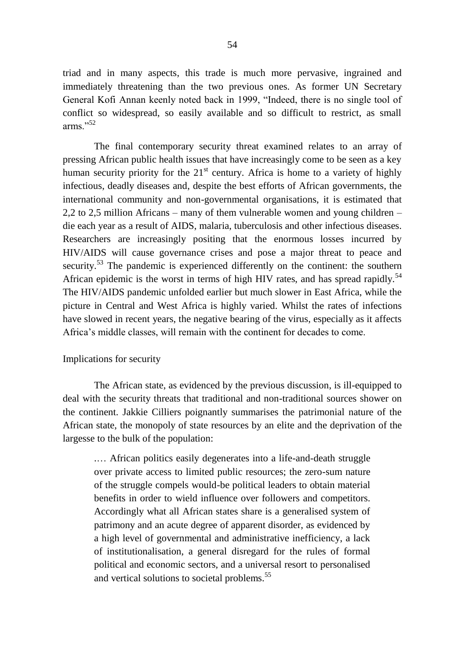triad and in many aspects, this trade is much more pervasive, ingrained and immediately threatening than the two previous ones. As former UN Secretary General Kofi Annan keenly noted back in 1999, "Indeed, there is no single tool of conflict so widespread, so easily available and so difficult to restrict, as small arms<sup>"52</sup>

The final contemporary security threat examined relates to an array of pressing African public health issues that have increasingly come to be seen as a key human security priority for the  $21<sup>st</sup>$  century. Africa is home to a variety of highly infectious, deadly diseases and, despite the best efforts of African governments, the international community and non-governmental organisations, it is estimated that 2,2 to 2,5 million Africans – many of them vulnerable women and young children – die each year as a result of AIDS, malaria, tuberculosis and other infectious diseases. Researchers are increasingly positing that the enormous losses incurred by HIV/AIDS will cause governance crises and pose a major threat to peace and security.<sup>53</sup> The pandemic is experienced differently on the continent: the southern African epidemic is the worst in terms of high HIV rates, and has spread rapidly.<sup>54</sup> The HIV/AIDS pandemic unfolded earlier but much slower in East Africa, while the picture in Central and West Africa is highly varied. Whilst the rates of infections have slowed in recent years, the negative bearing of the virus, especially as it affects Africa's middle classes, will remain with the continent for decades to come.

### Implications for security

The African state, as evidenced by the previous discussion, is ill-equipped to deal with the security threats that traditional and non-traditional sources shower on the continent. Jakkie Cilliers poignantly summarises the patrimonial nature of the African state, the monopoly of state resources by an elite and the deprivation of the largesse to the bulk of the population:

.… African politics easily degenerates into a life-and-death struggle over private access to limited public resources; the zero-sum nature of the struggle compels would-be political leaders to obtain material benefits in order to wield influence over followers and competitors. Accordingly what all African states share is a generalised system of patrimony and an acute degree of apparent disorder, as evidenced by a high level of governmental and administrative inefficiency, a lack of institutionalisation, a general disregard for the rules of formal political and economic sectors, and a universal resort to personalised and vertical solutions to societal problems.<sup>55</sup>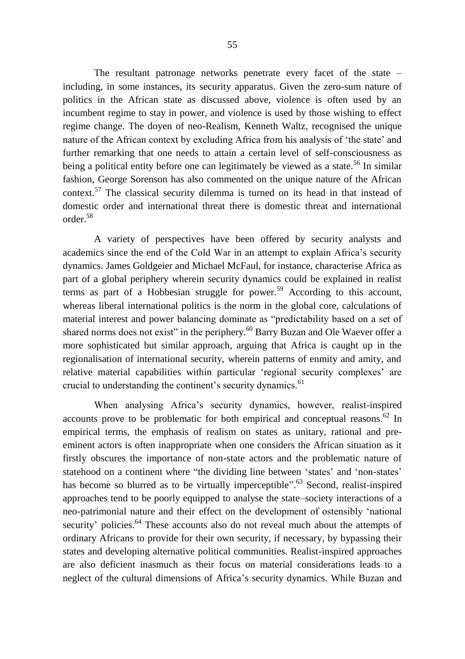The resultant patronage networks penetrate every facet of the state – including, in some instances, its security apparatus. Given the zero-sum nature of politics in the African state as discussed above, violence is often used by an incumbent regime to stay in power, and violence is used by those wishing to effect regime change. The doyen of neo-Realism, Kenneth Waltz, recognised the unique nature of the African context by excluding Africa from his analysis of 'the state' and further remarking that one needs to attain a certain level of self-consciousness as being a political entity before one can legitimately be viewed as a state.<sup>56</sup> In similar fashion, George Sorenson has also commented on the unique nature of the African context.<sup>57</sup> The classical security dilemma is turned on its head in that instead of domestic order and international threat there is domestic threat and international order.<sup>58</sup>

A variety of perspectives have been offered by security analysts and academics since the end of the Cold War in an attempt to explain Africa's security dynamics. James Goldgeier and Michael McFaul, for instance, characterise Africa as part of a global periphery wherein security dynamics could be explained in realist terms as part of a Hobbesian struggle for power.<sup>59</sup> According to this account, whereas liberal international politics is the norm in the global core, calculations of material interest and power balancing dominate as "predictability based on a set of shared norms does not exist" in the periphery.<sup>60</sup> Barry Buzan and Ole Waever offer a more sophisticated but similar approach, arguing that Africa is caught up in the regionalisation of international security, wherein patterns of enmity and amity, and relative material capabilities within particular 'regional security complexes' are crucial to understanding the continent's security dynamics.<sup>61</sup>

When analysing Africa's security dynamics, however, realist-inspired accounts prove to be problematic for both empirical and conceptual reasons.<sup>62</sup> In empirical terms, the emphasis of realism on states as unitary, rational and preeminent actors is often inappropriate when one considers the African situation as it firstly obscures the importance of non-state actors and the problematic nature of statehood on a continent where "the dividing line between 'states' and 'non-states' has become so blurred as to be virtually imperceptible".<sup>63</sup> Second, realist-inspired approaches tend to be poorly equipped to analyse the state–society interactions of a neo-patrimonial nature and their effect on the development of ostensibly 'national security' policies.<sup>64</sup> These accounts also do not reveal much about the attempts of ordinary Africans to provide for their own security, if necessary, by bypassing their states and developing alternative political communities. Realist-inspired approaches are also deficient inasmuch as their focus on material considerations leads to a neglect of the cultural dimensions of Africa's security dynamics. While Buzan and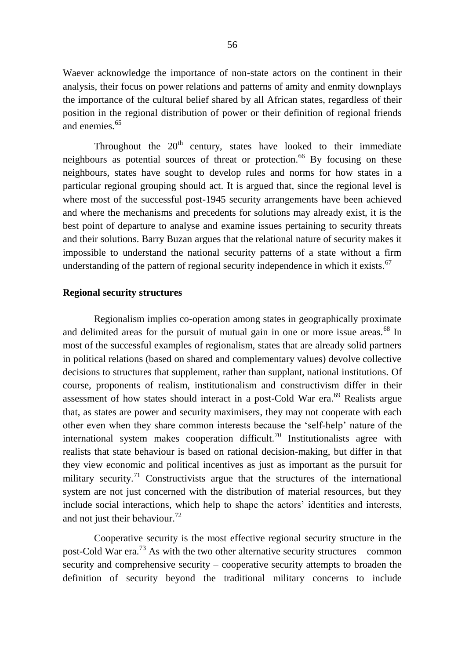Waever acknowledge the importance of non-state actors on the continent in their analysis, their focus on power relations and patterns of amity and enmity downplays the importance of the cultural belief shared by all African states, regardless of their position in the regional distribution of power or their definition of regional friends and enemies. 65

Throughout the  $20<sup>th</sup>$  century, states have looked to their immediate neighbours as potential sources of threat or protection.<sup>66</sup> By focusing on these neighbours, states have sought to develop rules and norms for how states in a particular regional grouping should act. It is argued that, since the regional level is where most of the successful post-1945 security arrangements have been achieved and where the mechanisms and precedents for solutions may already exist, it is the best point of departure to analyse and examine issues pertaining to security threats and their solutions. Barry Buzan argues that the relational nature of security makes it impossible to understand the national security patterns of a state without a firm understanding of the pattern of regional security independence in which it exists. $67$ 

#### **Regional security structures**

Regionalism implies co-operation among states in geographically proximate and delimited areas for the pursuit of mutual gain in one or more issue areas.<sup>68</sup> In most of the successful examples of regionalism, states that are already solid partners in political relations (based on shared and complementary values) devolve collective decisions to structures that supplement, rather than supplant, national institutions. Of course, proponents of realism, institutionalism and constructivism differ in their assessment of how states should interact in a post-Cold War era.<sup>69</sup> Realists argue that, as states are power and security maximisers, they may not cooperate with each other even when they share common interests because the 'self-help' nature of the international system makes cooperation difficult.<sup>70</sup> Institutionalists agree with realists that state behaviour is based on rational decision-making, but differ in that they view economic and political incentives as just as important as the pursuit for military security.<sup>71</sup> Constructivists argue that the structures of the international system are not just concerned with the distribution of material resources, but they include social interactions, which help to shape the actors' identities and interests, and not just their behaviour.<sup>72</sup>

Cooperative security is the most effective regional security structure in the post-Cold War era.<sup>73</sup> As with the two other alternative security structures – common security and comprehensive security – cooperative security attempts to broaden the definition of security beyond the traditional military concerns to include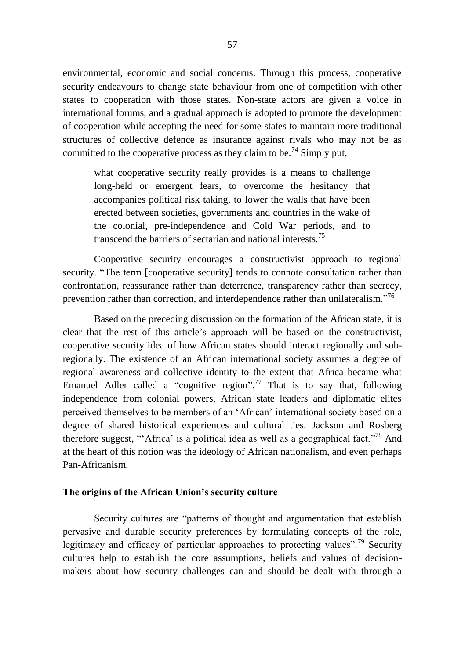environmental, economic and social concerns. Through this process, cooperative security endeavours to change state behaviour from one of competition with other states to cooperation with those states. Non-state actors are given a voice in international forums, and a gradual approach is adopted to promote the development of cooperation while accepting the need for some states to maintain more traditional structures of collective defence as insurance against rivals who may not be as committed to the cooperative process as they claim to be.<sup>74</sup> Simply put.

what cooperative security really provides is a means to challenge long-held or emergent fears, to overcome the hesitancy that accompanies political risk taking, to lower the walls that have been erected between societies, governments and countries in the wake of the colonial, pre-independence and Cold War periods, and to transcend the barriers of sectarian and national interests.<sup>75</sup>

Cooperative security encourages a constructivist approach to regional security. "The term [cooperative security] tends to connote consultation rather than confrontation, reassurance rather than deterrence, transparency rather than secrecy, prevention rather than correction, and interdependence rather than unilateralism."<sup>76</sup>

Based on the preceding discussion on the formation of the African state, it is clear that the rest of this article's approach will be based on the constructivist, cooperative security idea of how African states should interact regionally and subregionally. The existence of an African international society assumes a degree of regional awareness and collective identity to the extent that Africa became what Emanuel Adler called a "cognitive region".<sup>77</sup> That is to say that, following independence from colonial powers, African state leaders and diplomatic elites perceived themselves to be members of an 'African' international society based on a degree of shared historical experiences and cultural ties. Jackson and Rosberg therefore suggest, "'Africa' is a political idea as well as a geographical fact."<sup>78</sup> And at the heart of this notion was the ideology of African nationalism, and even perhaps Pan-Africanism.

#### **The origins of the African Union's security culture**

Security cultures are "patterns of thought and argumentation that establish pervasive and durable security preferences by formulating concepts of the role, legitimacy and efficacy of particular approaches to protecting values".<sup>79</sup> Security cultures help to establish the core assumptions, beliefs and values of decisionmakers about how security challenges can and should be dealt with through a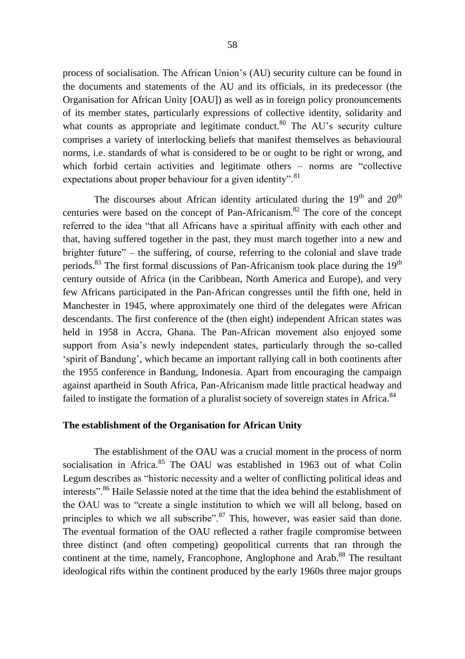process of socialisation. The African Union's (AU) security culture can be found in the documents and statements of the AU and its officials, in its predecessor (the Organisation for African Unity [OAU]) as well as in foreign policy pronouncements of its member states, particularly expressions of collective identity, solidarity and what counts as appropriate and legitimate conduct. $80$  The AU's security culture comprises a variety of interlocking beliefs that manifest themselves as behavioural norms, i.e. standards of what is considered to be or ought to be right or wrong, and which forbid certain activities and legitimate others – norms are "collective expectations about proper behaviour for a given identity".  $81$ 

The discourses about African identity articulated during the  $19<sup>th</sup>$  and  $20<sup>th</sup>$ centuries were based on the concept of Pan-Africanism.<sup>82</sup> The core of the concept referred to the idea "that all Africans have a spiritual affinity with each other and that, having suffered together in the past, they must march together into a new and brighter future" – the suffering, of course, referring to the colonial and slave trade periods.<sup>83</sup> The first formal discussions of Pan-Africanism took place during the 19<sup>th</sup> century outside of Africa (in the Caribbean, North America and Europe), and very few Africans participated in the Pan-African congresses until the fifth one, held in Manchester in 1945, where approximately one third of the delegates were African descendants. The first conference of the (then eight) independent African states was held in 1958 in Accra, Ghana. The Pan-African movement also enjoyed some support from Asia's newly independent states, particularly through the so-called 'spirit of Bandung', which became an important rallying call in both continents after the 1955 conference in Bandung, Indonesia. Apart from encouraging the campaign against apartheid in South Africa, Pan-Africanism made little practical headway and failed to instigate the formation of a pluralist society of sovereign states in Africa.<sup>84</sup>

#### **The establishment of the Organisation for African Unity**

The establishment of the OAU was a crucial moment in the process of norm socialisation in Africa.<sup>85</sup> The OAU was established in 1963 out of what Colin Legum describes as "historic necessity and a welter of conflicting political ideas and interests".<sup>86</sup> Haile Selassie noted at the time that the idea behind the establishment of the OAU was to "create a single institution to which we will all belong, based on principles to which we all subscribe".<sup>87</sup> This, however, was easier said than done. The eventual formation of the OAU reflected a rather fragile compromise between three distinct (and often competing) geopolitical currents that ran through the continent at the time, namely, Francophone, Anglophone and Arab.<sup>88</sup> The resultant ideological rifts within the continent produced by the early 1960s three major groups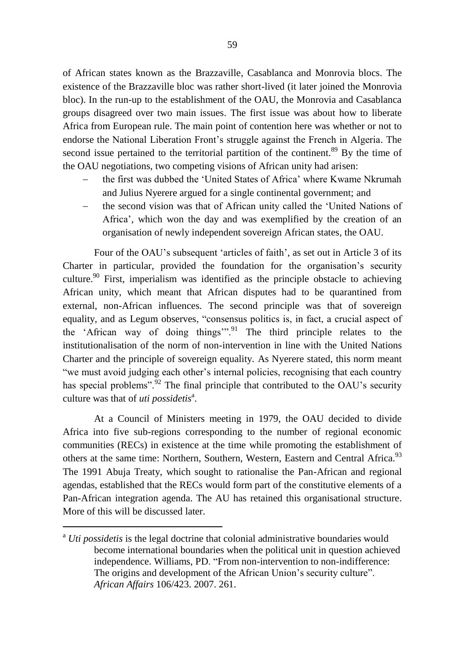of African states known as the Brazzaville, Casablanca and Monrovia blocs. The existence of the Brazzaville bloc was rather short-lived (it later joined the Monrovia bloc). In the run-up to the establishment of the OAU, the Monrovia and Casablanca groups disagreed over two main issues. The first issue was about how to liberate Africa from European rule. The main point of contention here was whether or not to endorse the National Liberation Front's struggle against the French in Algeria. The second issue pertained to the territorial partition of the continent.<sup>89</sup> By the time of the OAU negotiations, two competing visions of African unity had arisen:

- the first was dubbed the 'United States of Africa' where Kwame Nkrumah and Julius Nyerere argued for a single continental government; and
- the second vision was that of African unity called the 'United Nations of Africa', which won the day and was exemplified by the creation of an organisation of newly independent sovereign African states, the OAU.

Four of the OAU's subsequent 'articles of faith', as set out in Article 3 of its Charter in particular, provided the foundation for the organisation's security culture.<sup>90</sup> First, imperialism was identified as the principle obstacle to achieving African unity, which meant that African disputes had to be quarantined from external, non-African influences. The second principle was that of sovereign equality, and as Legum observes, "consensus politics is, in fact, a crucial aspect of the 'African way of doing things'".<sup>91</sup> The third principle relates to the institutionalisation of the norm of non-intervention in line with the United Nations Charter and the principle of sovereign equality. As Nyerere stated, this norm meant "we must avoid judging each other's internal policies, recognising that each country has special problems".<sup>92</sup> The final principle that contributed to the OAU's security culture was that of *uti possidetis<sup>a</sup>*.

At a Council of Ministers meeting in 1979, the OAU decided to divide Africa into five sub-regions corresponding to the number of regional economic communities (RECs) in existence at the time while promoting the establishment of others at the same time: Northern, Southern, Western, Eastern and Central Africa.<sup>93</sup> The 1991 Abuja Treaty, which sought to rationalise the Pan-African and regional agendas, established that the RECs would form part of the constitutive elements of a Pan-African integration agenda. The AU has retained this organisational structure. More of this will be discussed later.

<sup>&</sup>lt;sup>a</sup> *Uti possidetis* is the legal doctrine that colonial administrative boundaries would become international boundaries when the political unit in question achieved independence. Williams, PD. "From non-intervention to non-indifference: The origins and development of the African Union's security culture". *African Affairs* 106/423. 2007. 261.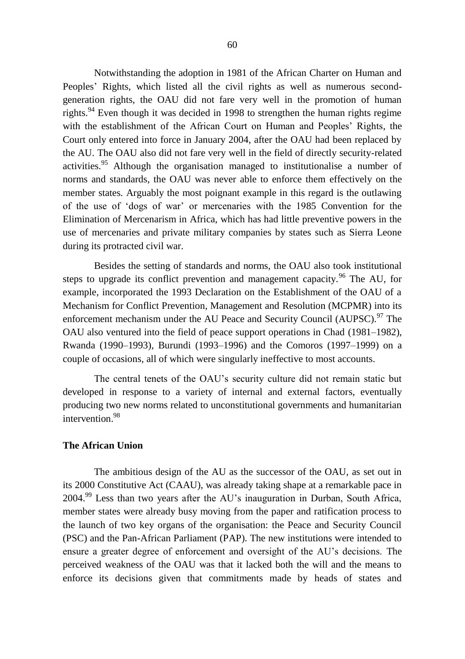Notwithstanding the adoption in 1981 of the African Charter on Human and Peoples' Rights, which listed all the civil rights as well as numerous secondgeneration rights, the OAU did not fare very well in the promotion of human rights.<sup>94</sup> Even though it was decided in 1998 to strengthen the human rights regime with the establishment of the African Court on Human and Peoples' Rights, the Court only entered into force in January 2004, after the OAU had been replaced by the AU. The OAU also did not fare very well in the field of directly security-related activities.<sup>95</sup> Although the organisation managed to institutionalise a number of norms and standards, the OAU was never able to enforce them effectively on the member states. Arguably the most poignant example in this regard is the outlawing of the use of 'dogs of war' or mercenaries with the 1985 Convention for the Elimination of Mercenarism in Africa, which has had little preventive powers in the use of mercenaries and private military companies by states such as Sierra Leone during its protracted civil war.

Besides the setting of standards and norms, the OAU also took institutional steps to upgrade its conflict prevention and management capacity.<sup>96</sup> The AU, for example, incorporated the 1993 Declaration on the Establishment of the OAU of a Mechanism for Conflict Prevention, Management and Resolution (MCPMR) into its enforcement mechanism under the AU Peace and Security Council (AUPSC).<sup>97</sup> The OAU also ventured into the field of peace support operations in Chad (1981–1982), Rwanda (1990–1993), Burundi (1993–1996) and the Comoros (1997–1999) on a couple of occasions, all of which were singularly ineffective to most accounts.

The central tenets of the OAU's security culture did not remain static but developed in response to a variety of internal and external factors, eventually producing two new norms related to unconstitutional governments and humanitarian intervention. 98

#### **The African Union**

The ambitious design of the AU as the successor of the OAU, as set out in its 2000 Constitutive Act (CAAU), was already taking shape at a remarkable pace in 2004.<sup>99</sup> Less than two years after the AU's inauguration in Durban, South Africa, member states were already busy moving from the paper and ratification process to the launch of two key organs of the organisation: the Peace and Security Council (PSC) and the Pan-African Parliament (PAP). The new institutions were intended to ensure a greater degree of enforcement and oversight of the AU's decisions. The perceived weakness of the OAU was that it lacked both the will and the means to enforce its decisions given that commitments made by heads of states and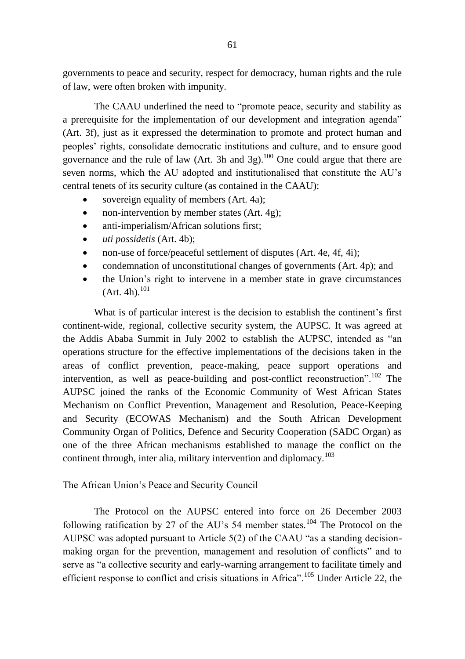governments to peace and security, respect for democracy, human rights and the rule of law, were often broken with impunity.

The CAAU underlined the need to "promote peace, security and stability as a prerequisite for the implementation of our development and integration agenda" (Art. 3f), just as it expressed the determination to promote and protect human and peoples' rights, consolidate democratic institutions and culture, and to ensure good governance and the rule of law (Art. 3h and 3g).<sup>100</sup> One could argue that there are seven norms, which the AU adopted and institutionalised that constitute the AU's central tenets of its security culture (as contained in the CAAU):

- sovereign equality of members (Art. 4a);
- non-intervention by member states (Art. 4g);
- anti-imperialism/African solutions first;
- *uti possidetis* (Art. 4b);
- non-use of force/peaceful settlement of disputes (Art. 4e, 4f, 4i);
- condemnation of unconstitutional changes of governments (Art. 4p); and
- the Union's right to intervene in a member state in grave circumstances  $(Art. 4h).$ <sup>101</sup>

What is of particular interest is the decision to establish the continent's first continent-wide, regional, collective security system, the AUPSC. It was agreed at the Addis Ababa Summit in July 2002 to establish the AUPSC, intended as "an operations structure for the effective implementations of the decisions taken in the areas of conflict prevention, peace-making, peace support operations and intervention, as well as peace-building and post-conflict reconstruction".<sup>102</sup> The AUPSC joined the ranks of the Economic Community of West African States Mechanism on Conflict Prevention, Management and Resolution, Peace-Keeping and Security (ECOWAS Mechanism) and the South African Development Community Organ of Politics, Defence and Security Cooperation (SADC Organ) as one of the three African mechanisms established to manage the conflict on the continent through, inter alia, military intervention and diplomacy.<sup>103</sup>

# The African Union's Peace and Security Council

The Protocol on the AUPSC entered into force on 26 December 2003 following ratification by 27 of the AU's 54 member states.<sup>104</sup> The Protocol on the AUPSC was adopted pursuant to Article 5(2) of the CAAU "as a standing decisionmaking organ for the prevention, management and resolution of conflicts" and to serve as "a collective security and early-warning arrangement to facilitate timely and efficient response to conflict and crisis situations in Africa".<sup>105</sup> Under Article 22, the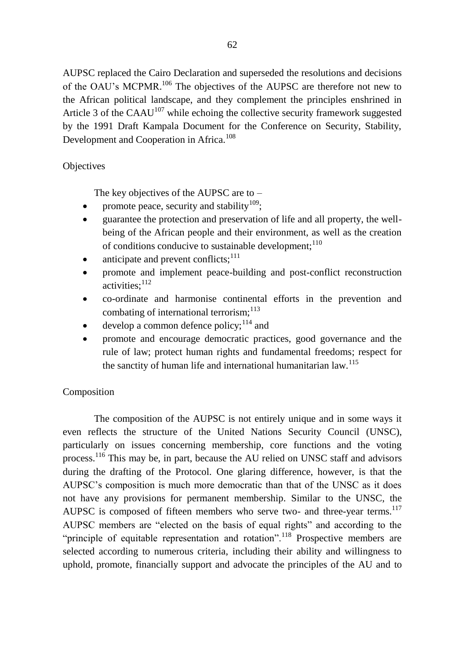AUPSC replaced the Cairo Declaration and superseded the resolutions and decisions of the OAU's MCPMR.<sup>106</sup> The objectives of the AUPSC are therefore not new to the African political landscape, and they complement the principles enshrined in Article 3 of the  $CAAU^{107}$  while echoing the collective security framework suggested by the 1991 Draft Kampala Document for the Conference on Security, Stability, Development and Cooperation in Africa.<sup>108</sup>

## **Objectives**

The key objectives of the AUPSC are to –

- promote peace, security and stability<sup>109</sup>:
- guarantee the protection and preservation of life and all property, the wellbeing of the African people and their environment, as well as the creation of conditions conducive to sustainable development:<sup>110</sup>
- anticipate and prevent conflicts: $111$
- promote and implement peace-building and post-conflict reconstruction activities:<sup>112</sup>
- co-ordinate and harmonise continental efforts in the prevention and combating of international terrorism; $^{113}$
- develop a common defence policy; $^{114}$  and
- promote and encourage democratic practices, good governance and the rule of law; protect human rights and fundamental freedoms; respect for the sanctity of human life and international humanitarian law.<sup>115</sup>

# Composition

The composition of the AUPSC is not entirely unique and in some ways it even reflects the structure of the United Nations Security Council (UNSC), particularly on issues concerning membership, core functions and the voting process.<sup>116</sup> This may be, in part, because the AU relied on UNSC staff and advisors during the drafting of the Protocol. One glaring difference, however, is that the AUPSC's composition is much more democratic than that of the UNSC as it does not have any provisions for permanent membership. Similar to the UNSC, the AUPSC is composed of fifteen members who serve two- and three-year terms.<sup>117</sup> AUPSC members are "elected on the basis of equal rights" and according to the "principle of equitable representation and rotation".<sup>118</sup> Prospective members are selected according to numerous criteria, including their ability and willingness to uphold, promote, financially support and advocate the principles of the AU and to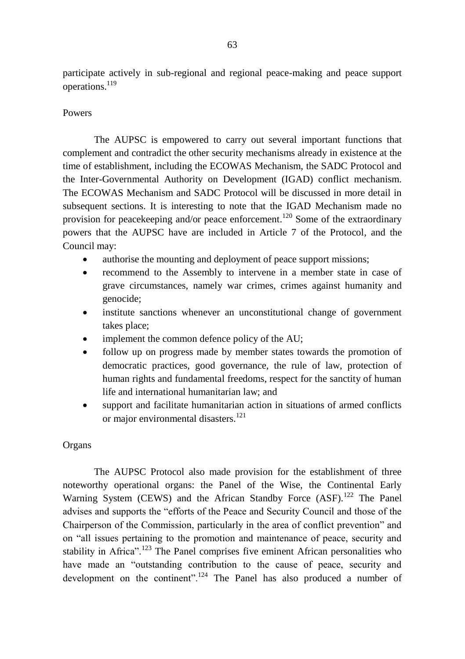participate actively in sub-regional and regional peace-making and peace support operations.<sup>119</sup>

#### Powers

The AUPSC is empowered to carry out several important functions that complement and contradict the other security mechanisms already in existence at the time of establishment, including the ECOWAS Mechanism, the SADC Protocol and the Inter-Governmental Authority on Development (IGAD) conflict mechanism. The ECOWAS Mechanism and SADC Protocol will be discussed in more detail in subsequent sections. It is interesting to note that the IGAD Mechanism made no provision for peacekeeping and/or peace enforcement.<sup>120</sup> Some of the extraordinary powers that the AUPSC have are included in Article 7 of the Protocol, and the Council may:

- authorise the mounting and deployment of peace support missions;
- recommend to the Assembly to intervene in a member state in case of grave circumstances, namely war crimes, crimes against humanity and genocide;
- institute sanctions whenever an unconstitutional change of government takes place;
- implement the common defence policy of the AU;
- follow up on progress made by member states towards the promotion of democratic practices, good governance, the rule of law, protection of human rights and fundamental freedoms, respect for the sanctity of human life and international humanitarian law; and
- support and facilitate humanitarian action in situations of armed conflicts or major environmental disasters.<sup>121</sup>

## Organs

The AUPSC Protocol also made provision for the establishment of three noteworthy operational organs: the Panel of the Wise, the Continental Early Warning System (CEWS) and the African Standby Force (ASF).<sup>122</sup> The Panel advises and supports the "efforts of the Peace and Security Council and those of the Chairperson of the Commission, particularly in the area of conflict prevention" and on "all issues pertaining to the promotion and maintenance of peace, security and stability in Africa".<sup>123</sup> The Panel comprises five eminent African personalities who have made an "outstanding contribution to the cause of peace, security and development on the continent".<sup>124</sup> The Panel has also produced a number of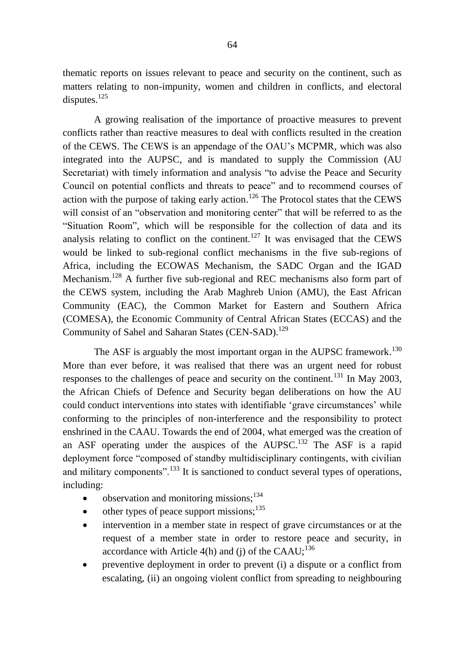thematic reports on issues relevant to peace and security on the continent, such as matters relating to non-impunity, women and children in conflicts, and electoral disputes.<sup>125</sup>

A growing realisation of the importance of proactive measures to prevent conflicts rather than reactive measures to deal with conflicts resulted in the creation of the CEWS. The CEWS is an appendage of the OAU's MCPMR, which was also integrated into the AUPSC, and is mandated to supply the Commission (AU Secretariat) with timely information and analysis "to advise the Peace and Security Council on potential conflicts and threats to peace" and to recommend courses of action with the purpose of taking early action.<sup>126</sup> The Protocol states that the CEWS will consist of an "observation and monitoring center" that will be referred to as the "Situation Room", which will be responsible for the collection of data and its analysis relating to conflict on the continent.<sup>127</sup> It was envisaged that the CEWS would be linked to sub-regional conflict mechanisms in the five sub-regions of Africa, including the ECOWAS Mechanism, the SADC Organ and the IGAD Mechanism.<sup>128</sup> A further five sub-regional and REC mechanisms also form part of the CEWS system, including the Arab Maghreb Union (AMU), the East African Community (EAC), the Common Market for Eastern and Southern Africa (COMESA), the Economic Community of Central African States (ECCAS) and the Community of Sahel and Saharan States (CEN-SAD).<sup>129</sup>

The ASF is arguably the most important organ in the AUPSC framework.<sup>130</sup> More than ever before, it was realised that there was an urgent need for robust responses to the challenges of peace and security on the continent.<sup>131</sup> In May 2003, the African Chiefs of Defence and Security began deliberations on how the AU could conduct interventions into states with identifiable 'grave circumstances' while conforming to the principles of non-interference and the responsibility to protect enshrined in the CAAU. Towards the end of 2004, what emerged was the creation of an ASF operating under the auspices of the AUPSC.<sup>132</sup> The ASF is a rapid deployment force "composed of standby multidisciplinary contingents, with civilian and military components".<sup>133</sup> It is sanctioned to conduct several types of operations, including:

- $\bullet$  observation and monitoring missions;<sup>134</sup>
- other types of peace support missions; $135$
- intervention in a member state in respect of grave circumstances or at the request of a member state in order to restore peace and security, in accordance with Article  $4(h)$  and (i) of the CAAU;<sup>136</sup>
- preventive deployment in order to prevent (i) a dispute or a conflict from escalating, (ii) an ongoing violent conflict from spreading to neighbouring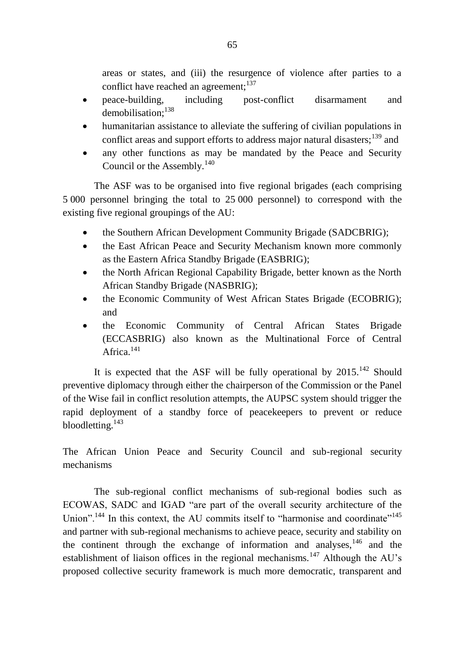areas or states, and (iii) the resurgence of violence after parties to a conflict have reached an agreement:<sup>137</sup>

- peace-building, including post-conflict disarmament and demobilisation;<sup>138</sup>
- humanitarian assistance to alleviate the suffering of civilian populations in conflict areas and support efforts to address major natural disasters;<sup>139</sup> and
- any other functions as may be mandated by the Peace and Security Council or the Assembly.<sup>140</sup>

The ASF was to be organised into five regional brigades (each comprising 5 000 personnel bringing the total to 25 000 personnel) to correspond with the existing five regional groupings of the AU:

- the Southern African Development Community Brigade (SADCBRIG);
- the East African Peace and Security Mechanism known more commonly as the Eastern Africa Standby Brigade (EASBRIG);
- the North African Regional Capability Brigade, better known as the North African Standby Brigade (NASBRIG);
- the Economic Community of West African States Brigade (ECOBRIG); and
- the Economic Community of Central African States Brigade (ECCASBRIG) also known as the Multinational Force of Central Africa<sup>141</sup>

It is expected that the ASF will be fully operational by  $2015$ .<sup>142</sup> Should preventive diplomacy through either the chairperson of the Commission or the Panel of the Wise fail in conflict resolution attempts, the AUPSC system should trigger the rapid deployment of a standby force of peacekeepers to prevent or reduce bloodletting.<sup>143</sup>

The African Union Peace and Security Council and sub-regional security mechanisms

The sub-regional conflict mechanisms of sub-regional bodies such as ECOWAS, SADC and IGAD "are part of the overall security architecture of the Union".<sup>144</sup> In this context, the AU commits itself to "harmonise and coordinate"<sup>145</sup> and partner with sub-regional mechanisms to achieve peace, security and stability on the continent through the exchange of information and analyses,  $146$  and the establishment of liaison offices in the regional mechanisms.<sup>147</sup> Although the AU's proposed collective security framework is much more democratic, transparent and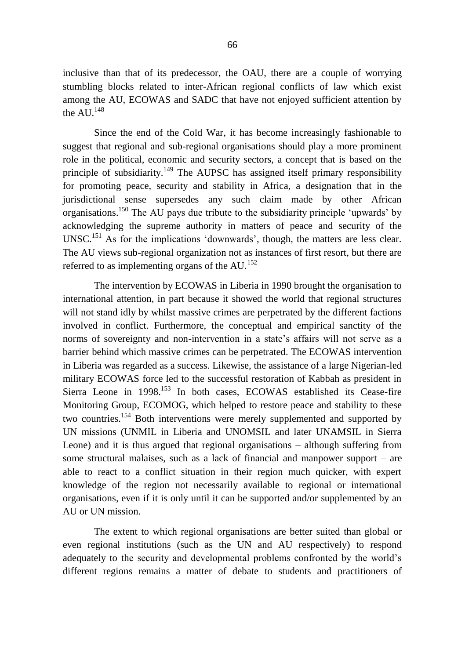inclusive than that of its predecessor, the OAU, there are a couple of worrying stumbling blocks related to inter-African regional conflicts of law which exist among the AU, ECOWAS and SADC that have not enjoyed sufficient attention by the AU $I$ <sup>148</sup>

Since the end of the Cold War, it has become increasingly fashionable to suggest that regional and sub-regional organisations should play a more prominent role in the political, economic and security sectors, a concept that is based on the principle of subsidiarity.<sup>149</sup> The AUPSC has assigned itself primary responsibility for promoting peace, security and stability in Africa, a designation that in the jurisdictional sense supersedes any such claim made by other African organisations. <sup>150</sup> The AU pays due tribute to the subsidiarity principle 'upwards' by acknowledging the supreme authority in matters of peace and security of the UNSC.<sup>151</sup> As for the implications 'downwards', though, the matters are less clear. The AU views sub-regional organization not as instances of first resort, but there are referred to as implementing organs of the AU.<sup>152</sup>

The intervention by ECOWAS in Liberia in 1990 brought the organisation to international attention, in part because it showed the world that regional structures will not stand idly by whilst massive crimes are perpetrated by the different factions involved in conflict. Furthermore, the conceptual and empirical sanctity of the norms of sovereignty and non-intervention in a state's affairs will not serve as a barrier behind which massive crimes can be perpetrated. The ECOWAS intervention in Liberia was regarded as a success. Likewise, the assistance of a large Nigerian-led military ECOWAS force led to the successful restoration of Kabbah as president in Sierra Leone in 1998.<sup>153</sup> In both cases, ECOWAS established its Cease-fire Monitoring Group, ECOMOG, which helped to restore peace and stability to these two countries.<sup>154</sup> Both interventions were merely supplemented and supported by UN missions (UNMIL in Liberia and UNOMSIL and later UNAMSIL in Sierra Leone) and it is thus argued that regional organisations – although suffering from some structural malaises, such as a lack of financial and manpower support – are able to react to a conflict situation in their region much quicker, with expert knowledge of the region not necessarily available to regional or international organisations, even if it is only until it can be supported and/or supplemented by an AU or UN mission.

The extent to which regional organisations are better suited than global or even regional institutions (such as the UN and AU respectively) to respond adequately to the security and developmental problems confronted by the world's different regions remains a matter of debate to students and practitioners of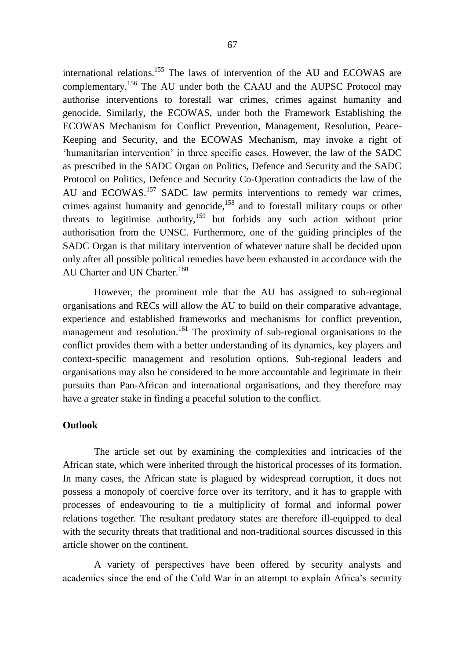international relations. <sup>155</sup> The laws of intervention of the AU and ECOWAS are complementary.<sup>156</sup> The AU under both the CAAU and the AUPSC Protocol may authorise interventions to forestall war crimes, crimes against humanity and genocide. Similarly, the ECOWAS, under both the Framework Establishing the ECOWAS Mechanism for Conflict Prevention, Management, Resolution, Peace-Keeping and Security, and the ECOWAS Mechanism, may invoke a right of 'humanitarian intervention' in three specific cases. However, the law of the SADC as prescribed in the SADC Organ on Politics, Defence and Security and the SADC Protocol on Politics, Defence and Security Co-Operation contradicts the law of the AU and ECOWAS.<sup>157</sup> SADC law permits interventions to remedy war crimes, crimes against humanity and genocide,<sup>158</sup> and to forestall military coups or other threats to legitimise authority,<sup>159</sup> but forbids any such action without prior authorisation from the UNSC. Furthermore, one of the guiding principles of the SADC Organ is that military intervention of whatever nature shall be decided upon only after all possible political remedies have been exhausted in accordance with the AU Charter and UN Charter. 160

However, the prominent role that the AU has assigned to sub-regional organisations and RECs will allow the AU to build on their comparative advantage, experience and established frameworks and mechanisms for conflict prevention, management and resolution.<sup>161</sup> The proximity of sub-regional organisations to the conflict provides them with a better understanding of its dynamics, key players and context-specific management and resolution options. Sub-regional leaders and organisations may also be considered to be more accountable and legitimate in their pursuits than Pan-African and international organisations, and they therefore may have a greater stake in finding a peaceful solution to the conflict.

#### **Outlook**

The article set out by examining the complexities and intricacies of the African state, which were inherited through the historical processes of its formation. In many cases, the African state is plagued by widespread corruption, it does not possess a monopoly of coercive force over its territory, and it has to grapple with processes of endeavouring to tie a multiplicity of formal and informal power relations together. The resultant predatory states are therefore ill-equipped to deal with the security threats that traditional and non-traditional sources discussed in this article shower on the continent.

A variety of perspectives have been offered by security analysts and academics since the end of the Cold War in an attempt to explain Africa's security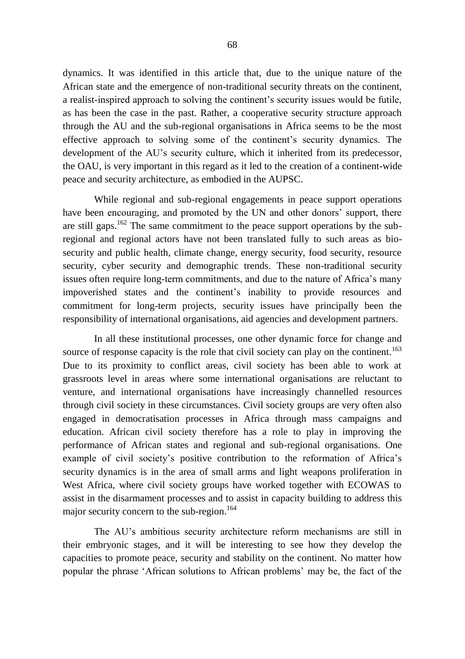dynamics. It was identified in this article that, due to the unique nature of the African state and the emergence of non-traditional security threats on the continent, a realist-inspired approach to solving the continent's security issues would be futile, as has been the case in the past. Rather, a cooperative security structure approach through the AU and the sub-regional organisations in Africa seems to be the most effective approach to solving some of the continent's security dynamics. The development of the AU's security culture, which it inherited from its predecessor, the OAU, is very important in this regard as it led to the creation of a continent-wide peace and security architecture, as embodied in the AUPSC.

While regional and sub-regional engagements in peace support operations have been encouraging, and promoted by the UN and other donors' support, there are still gaps.<sup>162</sup> The same commitment to the peace support operations by the subregional and regional actors have not been translated fully to such areas as biosecurity and public health, climate change, energy security, food security, resource security, cyber security and demographic trends. These non-traditional security issues often require long-term commitments, and due to the nature of Africa's many impoverished states and the continent's inability to provide resources and commitment for long-term projects, security issues have principally been the responsibility of international organisations, aid agencies and development partners.

In all these institutional processes, one other dynamic force for change and source of response capacity is the role that civil society can play on the continent.<sup>163</sup> Due to its proximity to conflict areas, civil society has been able to work at grassroots level in areas where some international organisations are reluctant to venture, and international organisations have increasingly channelled resources through civil society in these circumstances. Civil society groups are very often also engaged in democratisation processes in Africa through mass campaigns and education. African civil society therefore has a role to play in improving the performance of African states and regional and sub-regional organisations. One example of civil society's positive contribution to the reformation of Africa's security dynamics is in the area of small arms and light weapons proliferation in West Africa, where civil society groups have worked together with ECOWAS to assist in the disarmament processes and to assist in capacity building to address this major security concern to the sub-region. 164

The AU's ambitious security architecture reform mechanisms are still in their embryonic stages, and it will be interesting to see how they develop the capacities to promote peace, security and stability on the continent. No matter how popular the phrase 'African solutions to African problems' may be, the fact of the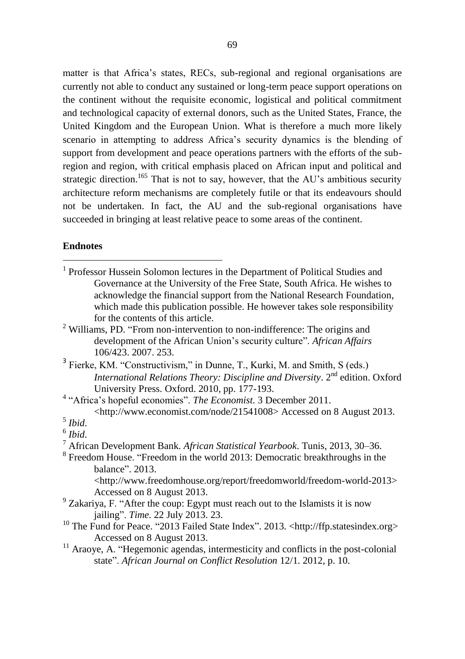matter is that Africa's states, RECs, sub-regional and regional organisations are currently not able to conduct any sustained or long-term peace support operations on the continent without the requisite economic, logistical and political commitment and technological capacity of external donors, such as the United States, France, the United Kingdom and the European Union. What is therefore a much more likely scenario in attempting to address Africa's security dynamics is the blending of support from development and peace operations partners with the efforts of the subregion and region, with critical emphasis placed on African input and political and strategic direction.<sup>165</sup> That is not to say, however, that the AU's ambitious security architecture reform mechanisms are completely futile or that its endeavours should not be undertaken. In fact, the AU and the sub-regional organisations have succeeded in bringing at least relative peace to some areas of the continent.

#### **Endnotes**

-

- <sup>1</sup> Professor Hussein Solomon lectures in the Department of Political Studies and Governance at the University of the Free State, South Africa. He wishes to acknowledge the financial support from the National Research Foundation, which made this publication possible. He however takes sole responsibility for the contents of this article.
- <sup>2</sup> Williams, PD. "From non-intervention to non-indifference: The origins and development of the African Union's security culture". *African Affairs* 106/423. 2007. 253.
- <sup>3</sup> Fierke, KM. "Constructivism," in Dunne, T., Kurki, M. and Smith, S (eds.) *International Relations Theory: Discipline and Diversity*. 2nd edition. Oxford University Press. Oxford. 2010, pp. 177-193.
- 4 "Africa's hopeful economies". *The Economist.* 3 December 2011. <http://www.economist.com/node/21541008> Accessed on 8 August 2013.

<sup>8</sup> Freedom House. "Freedom in the world 2013: Democratic breakthroughs in the balance". 2013.

- <sup>9</sup> Zakariya, F. "After the coup: Egypt must reach out to the Islamists it is now jailing". *Time.* 22 July 2013. 23.
- <sup>10</sup> The Fund for Peace. "2013 Failed State Index". 2013. <http://ffp.statesindex.org> Accessed on 8 August 2013.
- <sup>11</sup> Araoye, A. "Hegemonic agendas, intermesticity and conflicts in the post-colonial state". *African Journal on Conflict Resolution* 12/1. 2012, p. 10.

<sup>5</sup> *Ibid*.

<sup>6</sup> *Ibid*.

<sup>7</sup> African Development Bank. *African Statistical Yearbook*. Tunis, 2013, 30–36.

<sup>&</sup>lt;http://www.freedomhouse.org/report/freedomworld/freedom-world-2013> Accessed on 8 August 2013.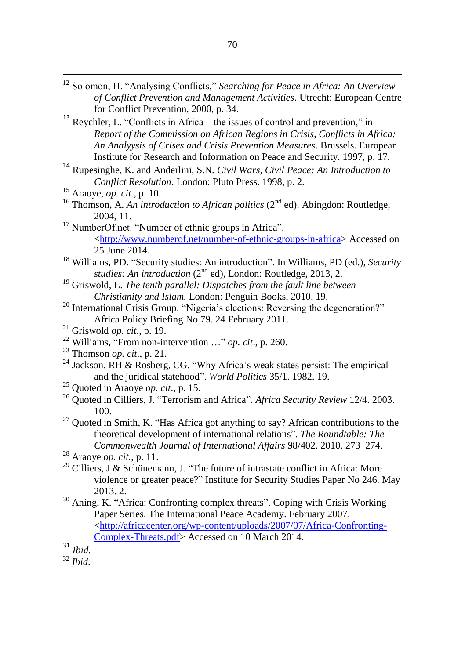- <sup>12</sup> Solomon, H. "Analysing Conflicts," *Searching for Peace in Africa: An Overview of Conflict Prevention and Management Activities*. Utrecht: European Centre for Conflict Prevention, 2000, p. 34.
- <sup>13</sup> Reychler, L. "Conflicts in Africa the issues of control and prevention," in *Report of the Commission on African Regions in Crisis, Conflicts in Africa: An Analyysis of Crises and Crisis Prevention Measures*. Brussels. European Institute for Research and Information on Peace and Security. 1997, p. 17.
- <sup>14</sup> Rupesinghe, K. and Anderlini, S.N. *Civil Wars, Civil Peace: An Introduction to Conflict Resolution*. London: Pluto Press. 1998, p. 2.
- <sup>15</sup> Araoye, *op. cit.*, p. 10.

-

- <sup>16</sup> Thomson, A. An introduction to African politics (2<sup>nd</sup> ed). Abingdon: Routledge, 2004, 11.
- <sup>17</sup> NumberOf.net. "Number of ethnic groups in Africa". [<http://www.numberof.net/number-of-ethnic-groups-in-africa>](http://www.numberof.net/number-of-ethnic-groups-in-africa) Accessed on 25 June 2014.
- <sup>18</sup> Williams, PD. "Security studies: An introduction". In Williams, PD (ed.), *Security*  studies: An introduction (2<sup>nd</sup> ed), London: Routledge, 2013, 2.
- <sup>19</sup> Griswold, E. *The tenth parallel: Dispatches from the fault line between Christianity and Islam.* London: Penguin Books, 2010, 19.
- <sup>20</sup> International Crisis Group. "Nigeria's elections: Reversing the degeneration?" Africa Policy Briefing No 79. 24 February 2011.
- <sup>21</sup> Griswold *op. cit*., p. 19.
- <sup>22</sup> Williams, "From non-intervention …" *op. cit*., p. 260.
- <sup>23</sup> Thomson *op. cit*., p. 21.
- <sup>24</sup> Jackson, RH & Rosberg, CG. "Why Africa's weak states persist: The empirical and the juridical statehood". *World Politics* 35/1. 1982. 19.
- <sup>25</sup> Quoted in Araoye *op. cit*., p. 15.
- <sup>26</sup> Quoted in Cilliers, J. "Terrorism and Africa". *Africa Security Review* 12/4. 2003. 100.
- $27$  Quoted in Smith, K. "Has Africa got anything to say? African contributions to the theoretical development of international relations". *The Roundtable: The Commonwealth Journal of International Affairs* 98/402. 2010. 273–274.
- <sup>28</sup> Araoye *op. cit.*, p. 11.
- $29$  Cilliers, J & Schünemann, J. "The future of intrastate conflict in Africa: More violence or greater peace?" Institute for Security Studies Paper No 246*.* May 2013. 2.
- <sup>30</sup> Aning, K. "Africa: Confronting complex threats". Coping with Crisis Working Paper Series. The International Peace Academy. February 2007. [<http://africacenter.org/wp-content/uploads/2007/07/Africa-Confronting-](http://africacenter.org/wp-content/uploads/2007/07/Africa-Confronting-Complex-Threats.pdf)[Complex-Threats.pdf>](http://africacenter.org/wp-content/uploads/2007/07/Africa-Confronting-Complex-Threats.pdf) Accessed on 10 March 2014.

<sup>32</sup> *Ibid*.

<sup>31</sup> *Ibid.*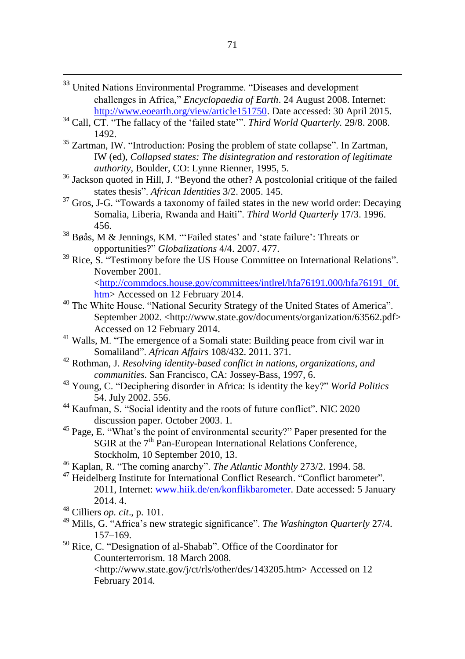- <sup>33</sup> United Nations Environmental Programme. "Diseases and development challenges in Africa," *Encyclopaedia of Earth*. 24 August 2008. Internet: [http://www.eoearth.org/view/article151750.](http://www.eoearth.org/view/article151750) Date accessed: 30 April 2015.
- <sup>34</sup> Call, CT. "The fallacy of the 'failed state'". *Third World Quarterly*. 29/8. 2008. 1492.
- <sup>35</sup> Zartman, IW. "Introduction: Posing the problem of state collapse". In Zartman, IW (ed), *Collapsed states: The disintegration and restoration of legitimate authority*, Boulder, CO: Lynne Rienner, 1995, 5.
- <sup>36</sup> Jackson quoted in Hill, J. "Beyond the other? A postcolonial critique of the failed states thesis". *African Identities* 3/2. 2005. 145.
- $37$  Gros, J-G. "Towards a taxonomy of failed states in the new world order: Decaying Somalia, Liberia, Rwanda and Haiti". *Third World Quarterly* 17/3. 1996. 456.
- <sup>38</sup> Bøås, M & Jennings, KM. "'Failed states' and 'state failure': Threats or opportunities?" *Globalizations* 4/4. 2007. 477.
- <sup>39</sup> Rice, S. "Testimony before the US House Committee on International Relations". November 2001. [<http://commdocs.house.gov/committees/intlrel/hfa76191.000/hfa76191\\_0f.](http://commdocs.house.gov/committees/intlrel/hfa76191.000/hfa76191_0f.htm)

[htm>](http://commdocs.house.gov/committees/intlrel/hfa76191.000/hfa76191_0f.htm) Accessed on 12 February 2014.

- <sup>40</sup> The White House. "National Security Strategy of the United States of America". September 2002. <http://www.state.gov/documents/organization/63562.pdf> Accessed on 12 February 2014.
- <sup>41</sup> Walls, M. "The emergence of a Somali state: Building peace from civil war in Somaliland". *African Affairs* 108/432. 2011. 371.
- <sup>42</sup> Rothman, J. *Resolving identity-based conflict in nations, organizations, and communities.* San Francisco, CA: Jossey-Bass, 1997, 6.
- <sup>43</sup> Young, C. "Deciphering disorder in Africa: Is identity the key?" *World Politics* 54. July 2002. 556.
- <sup>44</sup> Kaufman, S. "Social identity and the roots of future conflict". NIC 2020 discussion paper. October 2003. 1.
- <sup>45</sup> Page, E. "What's the point of environmental security?" Paper presented for the SGIR at the  $7<sup>th</sup>$  Pan-European International Relations Conference, Stockholm, 10 September 2010, 13.
- <sup>46</sup> Kaplan, R. "The coming anarchy". *The Atlantic Monthly* 273/2. 1994. 58.
- <sup>47</sup> Heidelberg Institute for International Conflict Research. "Conflict barometer". 2011, Internet[: www.hiik.de/en/konflikbarometer.](http://www.hiik.de/en/konflikbarometer) Date accessed: 5 January 2014. 4.
- <sup>48</sup> Cilliers *op. cit*., p. 101.

- <sup>49</sup> Mills, G. "Africa's new strategic significance". *The Washington Quarterly* 27/4. 157–169.
- <sup>50</sup> Rice, C. "Designation of al-Shabab". Office of the Coordinator for Counterterrorism. 18 March 2008. <http://www.state.gov/j/ct/rls/other/des/143205.htm> Accessed on 12 February 2014.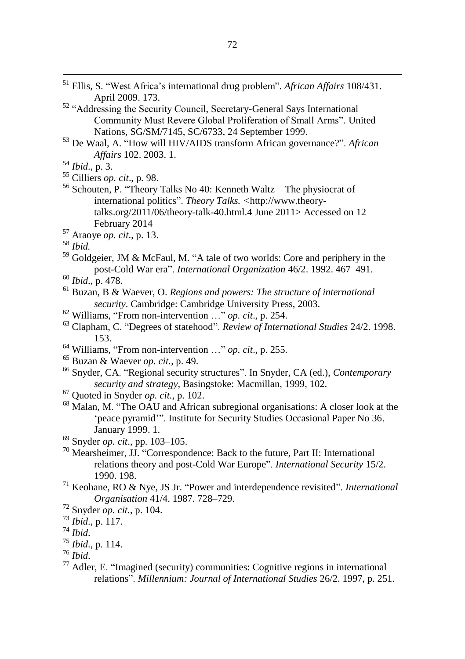- <sup>51</sup> Ellis, S. "West Africa's international drug problem". *African Affairs* 108/431. April 2009. 173.
- <sup>52</sup> "Addressing the Security Council, Secretary-General Says International Community Must Revere Global Proliferation of Small Arms". United Nations, SG/SM/7145, SC/6733, 24 September 1999.
- <sup>53</sup> De Waal, A. "How will HIV/AIDS transform African governance?". *African Affairs* 102. 2003. 1.
- <sup>54</sup> *Ibid*., p. 3.

-

- <sup>55</sup> Cilliers *op. cit*., p. 98.
- $56$  Schouten, P. "Theory Talks No 40: Kenneth Waltz The physiocrat of international politics". *Theory Talks. <*http://www.theorytalks.org/2011/06/theory-talk-40.html.4 June 2011> Accessed on 12 February 2014
- <sup>57</sup> Araoye *op. cit*., p. 13.
- <sup>58</sup> *Ibid.*
- <sup>59</sup> Goldgeier, JM & McFaul, M. "A tale of two worlds: Core and periphery in the post-Cold War era". *International Organization* 46/2. 1992. 467–491.
- <sup>60</sup> *Ibid*., p. 478.
- <sup>61</sup> Buzan, B & Waever, O. *Regions and powers: The structure of international security*. Cambridge: Cambridge University Press, 2003.
- <sup>62</sup> Williams, "From non-intervention …" *op. cit*., p. 254.
- <sup>63</sup> Clapham, C. "Degrees of statehood". *Review of International Studies* 24/2. 1998. 153.
- <sup>64</sup> Williams, "From non-intervention …" *op. cit*., p. 255.
- <sup>65</sup> Buzan & Waever *op. cit.*, p. 49.
- <sup>66</sup> Snyder, CA. "Regional security structures". In Snyder, CA (ed.), *Contemporary security and strategy*, Basingstoke: Macmillan, 1999, 102.
- <sup>67</sup> Quoted in Snyder *op. cit.*, p. 102.
- <sup>68</sup> Malan, M. "The OAU and African subregional organisations: A closer look at the 'peace pyramid'". Institute for Security Studies Occasional Paper No 36. January 1999. 1.
- <sup>69</sup> Snyder *op. cit*., pp. 103–105.
- <sup>70</sup> Mearsheimer, JJ. "Correspondence: Back to the future, Part II: International relations theory and post-Cold War Europe". *International Security* 15/2. 1990. 198.
- <sup>71</sup> Keohane, RO & Nye, JS Jr. "Power and interdependence revisited". *International Organisation* 41/4. 1987. 728–729.
- <sup>72</sup> Snyder *op. cit.*, p. 104.
- <sup>73</sup> *Ibid*., p. 117.
- <sup>74</sup> *Ibid*.
- <sup>75</sup> *Ibid*., p. 114.

<sup>77</sup> Adler, E. "Imagined (security) communities: Cognitive regions in international relations". *Millennium: Journal of International Studies* 26/2. 1997, p. 251.

<sup>76</sup> *Ibid*.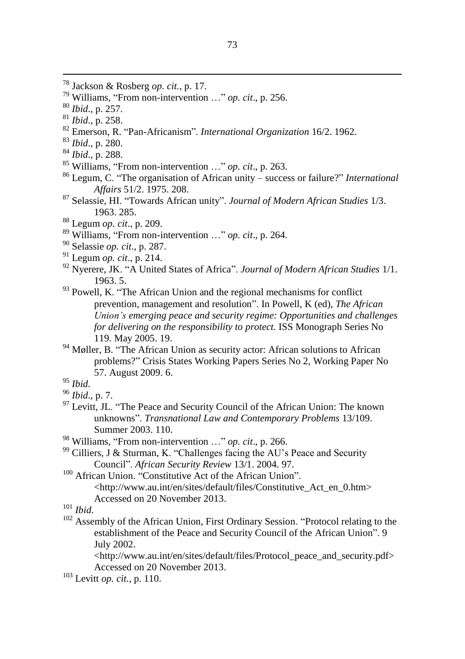- <sup>78</sup> Jackson & Rosberg *op. cit.*, p. 17.
- <sup>79</sup> Williams, "From non-intervention …" *op. cit*., p. 256.
- <sup>80</sup> *Ibid*., p. 257.

- <sup>81</sup> *Ibid*., p. 258.
- <sup>82</sup> Emerson, R. "Pan-Africanism". *International Organization* 16/2. 1962.
- <sup>83</sup> *Ibid*., p. 280.
- <sup>84</sup> *Ibid*., p. 288.
- <sup>85</sup> Williams, "From non-intervention …" *op. cit*., p. 263.
- <sup>86</sup> Legum, C. "The organisation of African unity success or failure?" *International Affairs* 51/2. 1975. 208.
- <sup>87</sup> Selassie, HI. "Towards African unity". *Journal of Modern African Studies* 1/3. 1963. 285.
- <sup>88</sup> Legum *op. cit*., p. 209.
- <sup>89</sup> Williams, "From non-intervention …" *op. cit*., p. 264.
- <sup>90</sup> Selassie *op. cit*., p. 287.
- <sup>91</sup> Legum *op. cit*., p. 214.
- <sup>92</sup> Nyerere, JK. "A United States of Africa". *Journal of Modern African Studies* 1/1. 1963. 5.
- <sup>93</sup> Powell, K. "The African Union and the regional mechanisms for conflict prevention, management and resolution". In Powell, K (ed), *The African Union's emerging peace and security regime: Opportunities and challenges for delivering on the responsibility to protect.* ISS Monograph Series No 119. May 2005. 19.
- <sup>94</sup> Møller. B. "The African Union as security actor: African solutions to African problems?" Crisis States Working Papers Series No 2, Working Paper No 57. August 2009. 6.
- <sup>95</sup> *Ibid*.
- <sup>96</sup> *Ibid*., p. 7.
- <sup>97</sup> Levitt, JL. "The Peace and Security Council of the African Union: The known unknowns". *Transnational Law and Contemporary Problems* 13/109. Summer 2003. 110.
- <sup>98</sup> Williams, "From non-intervention …" *op. cit*., p. 266.
- <sup>99</sup> Cilliers, J & Sturman, K. "Challenges facing the AU's Peace and Security Council". *African Security Review* 13/1. 2004. 97.
- <sup>100</sup> African Union. "Constitutive Act of the African Union". <http://www.au.int/en/sites/default/files/Constitutive\_Act\_en\_0.htm> Accessed on 20 November 2013.
- <sup>101</sup> *Ibid*.
- <sup>102</sup> Assembly of the African Union, First Ordinary Session. "Protocol relating to the establishment of the Peace and Security Council of the African Union". 9 July 2002.
	- <http://www.au.int/en/sites/default/files/Protocol\_peace\_and\_security.pdf> Accessed on 20 November 2013.
- <sup>103</sup> Levitt *op. cit.*, p. 110.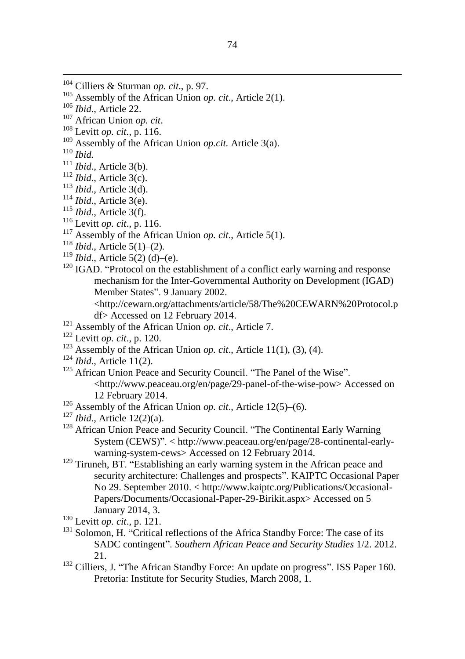- <sup>104</sup> Cilliers & Sturman *op. cit*., p. 97.
- <sup>105</sup> Assembly of the African Union *op. cit*., Article 2(1).
- <sup>106</sup> *Ibid*., Article 22.
- <sup>107</sup> African Union *op. cit*.
- <sup>108</sup> Levitt *op. cit.*, p. 116.
- <sup>109</sup> Assembly of the African Union *op.cit.* Article 3(a).

<sup>110</sup> *Ibid.*

- <sup>111</sup> *Ibid*., Article 3(b).
- <sup>112</sup> *Ibid*., Article 3(c).
- <sup>113</sup> *Ibid*., Article 3(d).
- <sup>114</sup> *Ibid*., Article 3(e).
- <sup>115</sup> *Ibid*., Article 3(f).
- <sup>116</sup> Levitt *op. cit*., p. 116.
- <sup>117</sup> Assembly of the African Union *op. cit*., Article 5(1).
- <sup>118</sup> *Ibid*., Article 5(1)–(2).
- <sup>119</sup> *Ibid*., Article 5(2) (d)–(e).
- <sup>120</sup> IGAD. "Protocol on the establishment of a conflict early warning and response mechanism for the Inter-Governmental Authority on Development (IGAD) Member States". 9 January 2002. <http://cewarn.org/attachments/article/58/The%20CEWARN%20Protocol.p
	- df> Accessed on 12 February 2014.
- <sup>121</sup> Assembly of the African Union *op. cit*., Article 7.
- <sup>122</sup> Levitt *op. cit*., p. 120.
- <sup>123</sup> Assembly of the African Union *op. cit.*, Article 11(1), (3), (4).
- <sup>124</sup> *Ibid*., Article 11(2).
- <sup>125</sup> African Union Peace and Security Council. "The Panel of the Wise". <http://www.peaceau.org/en/page/29-panel-of-the-wise-pow> Accessed on 12 February 2014.
- <sup>126</sup> Assembly of the African Union *op. cit*., Article 12(5)–(6).
- <sup>127</sup> *Ibid*., Article 12(2)(a).
- <sup>128</sup> African Union Peace and Security Council. "The Continental Early Warning System (CEWS)". < http://www.peaceau.org/en/page/28-continental-earlywarning-system-cews> Accessed on 12 February 2014.
- <sup>129</sup> Tiruneh, BT. "Establishing an early warning system in the African peace and security architecture: Challenges and prospects". KAIPTC Occasional Paper No 29. September 2010. < http://www.kaiptc.org/Publications/Occasional-Papers/Documents/Occasional-Paper-29-Birikit.aspx> Accessed on 5 January 2014, 3.
- <sup>130</sup> Levitt *op. cit*., p. 121.
- <sup>131</sup> Solomon, H. "Critical reflections of the Africa Standby Force: The case of its SADC contingent". *Southern African Peace and Security Studies* 1/2. 2012. 21.
- <sup>132</sup> Cilliers, J. "The African Standby Force: An update on progress". ISS Paper 160. Pretoria: Institute for Security Studies, March 2008, 1.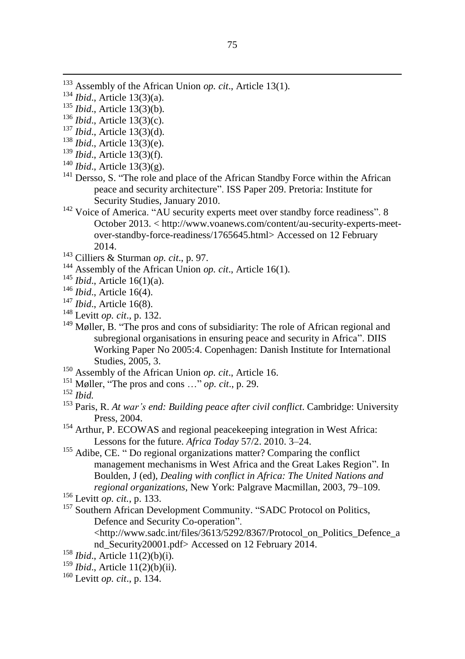- <sup>133</sup> Assembly of the African Union *op. cit*., Article 13(1).
- <sup>134</sup> *Ibid*., Article 13(3)(a).

- <sup>135</sup> *Ibid.*, Article 13(3)(b).
- <sup>136</sup> *Ibid*., Article 13(3)(c).
- <sup>137</sup> *Ibid*., Article 13(3)(d).
- <sup>138</sup> *Ibid*., Article 13(3)(e).
- <sup>139</sup> *Ibid*., Article 13(3)(f).
- <sup>140</sup> *Ibid*., Article 13(3)(g).
- <sup>141</sup> Dersso, S. "The role and place of the African Standby Force within the African peace and security architecture". ISS Paper 209. Pretoria: Institute for Security Studies, January 2010.
- <sup>142</sup> Voice of America. "AU security experts meet over standby force readiness". 8 October 2013. < http://www.voanews.com/content/au-security-experts-meetover-standby-force-readiness/1765645.html> Accessed on 12 February 2014.
- <sup>143</sup> Cilliers & Sturman *op. cit*., p. 97.
- <sup>144</sup> Assembly of the African Union *op. cit.*, Article 16(1).
- <sup>145</sup> *Ibid*., Article 16(1)(a).
- <sup>146</sup> *Ibid*., Article 16(4).
- <sup>147</sup> *Ibid*., Article 16(8).
- <sup>148</sup> Levitt *op. cit*., p. 132.
- <sup>149</sup> Møller, B. "The pros and cons of subsidiarity: The role of African regional and subregional organisations in ensuring peace and security in Africa". DIIS Working Paper No 2005:4. Copenhagen: Danish Institute for International Studies, 2005, 3.
- <sup>150</sup> Assembly of the African Union *op. cit*., Article 16.
- <sup>151</sup> Møller, "The pros and cons …" *op. cit*., p. 29.
- <sup>152</sup> *Ibid.*
- <sup>153</sup> Paris, R. *At war's end: Building peace after civil conflict*. Cambridge: University Press, 2004.
- <sup>154</sup> Arthur, P. ECOWAS and regional peacekeeping integration in West Africa: Lessons for the future. *Africa Today* 57/2. 2010. 3–24.
- <sup>155</sup> Adibe, CE. " Do regional organizations matter? Comparing the conflict management mechanisms in West Africa and the Great Lakes Region". In Boulden, J (ed), *Dealing with conflict in Africa: The United Nations and regional organizations*, New York: Palgrave Macmillan, 2003, 79–109.

- <sup>157</sup> Southern African Development Community. "SADC Protocol on Politics, Defence and Security Co-operation". <http://www.sadc.int/files/3613/5292/8367/Protocol\_on\_Politics\_Defence\_a nd\_Security20001.pdf> Accessed on 12 February 2014.
- <sup>158</sup> *Ibid*., Article 11(2)(b)(i).
- <sup>159</sup> *Ibid.*, Article 11(2)(b)(ii).
- <sup>160</sup> Levitt *op. cit*., p. 134.

<sup>156</sup> Levitt *op. cit.*, p. 133.